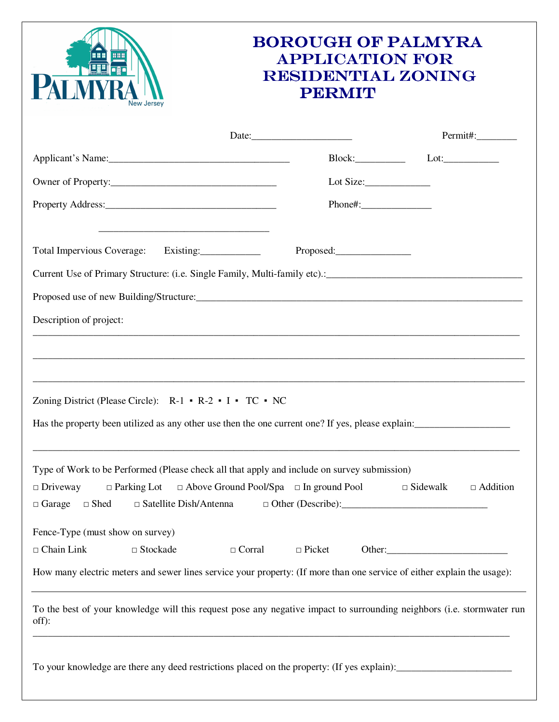| <b>BOROUGH OF PALMYRA</b><br><b>APPLICATION FOR</b><br><b>RESIDENTIAL ZONING</b><br><b>PERMIT</b>                                                                                                                                                  |                                                                       |              |                                    |
|----------------------------------------------------------------------------------------------------------------------------------------------------------------------------------------------------------------------------------------------------|-----------------------------------------------------------------------|--------------|------------------------------------|
|                                                                                                                                                                                                                                                    |                                                                       |              | Permit#:__________                 |
|                                                                                                                                                                                                                                                    |                                                                       |              | Block: Lot: Lot:                   |
|                                                                                                                                                                                                                                                    |                                                                       |              |                                    |
|                                                                                                                                                                                                                                                    |                                                                       | $Phone\#:\_$ |                                    |
| Total Impervious Coverage: Existing:                                                                                                                                                                                                               |                                                                       |              |                                    |
|                                                                                                                                                                                                                                                    |                                                                       |              |                                    |
|                                                                                                                                                                                                                                                    |                                                                       |              |                                    |
| Description of project:                                                                                                                                                                                                                            |                                                                       |              |                                    |
| ,我们也不能在这里的人,我们也不能在这里的人,我们也不能在这里的人,我们也不能在这里的人,我们也不能在这里的人,我们也不能在这里的人,我们也不能在这里的人,我们也<br>Zoning District (Please Circle): R-1 • R-2 • I • TC • NC<br>Has the property been utilized as any other use then the one current one? If yes, please explain: |                                                                       |              |                                    |
| Type of Work to be Performed (Please check all that apply and include on survey submission)<br>$\Box$ Driveway<br>$\square$ Satellite Dish/Antenna<br>$\Box$ Garage<br>$\Box$ Shed                                                                 | $\Box$ Parking Lot $\Box$ Above Ground Pool/Spa $\Box$ In ground Pool |              | $\Box$ Sidewalk<br>$\Box$ Addition |
| Fence-Type (must show on survey)<br>$\Box$ Chain Link<br>$\Box$ Stockade                                                                                                                                                                           | $\Box$ Picket<br>$\Box$ Corral                                        |              |                                    |
| How many electric meters and sewer lines service your property: (If more than one service of either explain the usage):                                                                                                                            |                                                                       |              |                                    |
| To the best of your knowledge will this request pose any negative impact to surrounding neighbors (i.e. stormwater run<br>off):                                                                                                                    |                                                                       |              |                                    |
| To your knowledge are there any deed restrictions placed on the property: (If yes explain):<br>                                                                                                                                                    |                                                                       |              |                                    |